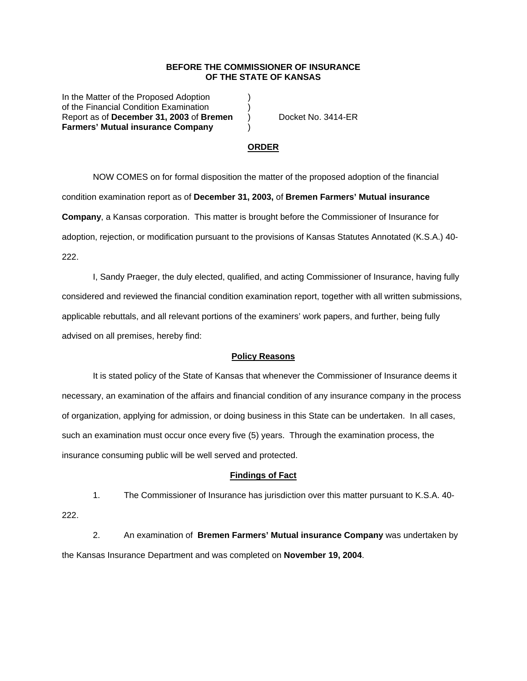## **BEFORE THE COMMISSIONER OF INSURANCE OF THE STATE OF KANSAS**

In the Matter of the Proposed Adoption (1) of the Financial Condition Examination ) Report as of **December 31, 2003** of **Bremen** ) Docket No. 3414-ER **Farmers' Mutual insurance Company** )

## **ORDER**

 NOW COMES on for formal disposition the matter of the proposed adoption of the financial condition examination report as of **December 31, 2003,** of **Bremen Farmers' Mutual insurance Company**, a Kansas corporation. This matter is brought before the Commissioner of Insurance for adoption, rejection, or modification pursuant to the provisions of Kansas Statutes Annotated (K.S.A.) 40- 222.

 I, Sandy Praeger, the duly elected, qualified, and acting Commissioner of Insurance, having fully considered and reviewed the financial condition examination report, together with all written submissions, applicable rebuttals, and all relevant portions of the examiners' work papers, and further, being fully advised on all premises, hereby find:

#### **Policy Reasons**

 It is stated policy of the State of Kansas that whenever the Commissioner of Insurance deems it necessary, an examination of the affairs and financial condition of any insurance company in the process of organization, applying for admission, or doing business in this State can be undertaken. In all cases, such an examination must occur once every five (5) years. Through the examination process, the insurance consuming public will be well served and protected.

#### **Findings of Fact**

 1. The Commissioner of Insurance has jurisdiction over this matter pursuant to K.S.A. 40- 222.

 2. An examination of **Bremen Farmers' Mutual insurance Company** was undertaken by the Kansas Insurance Department and was completed on **November 19, 2004**.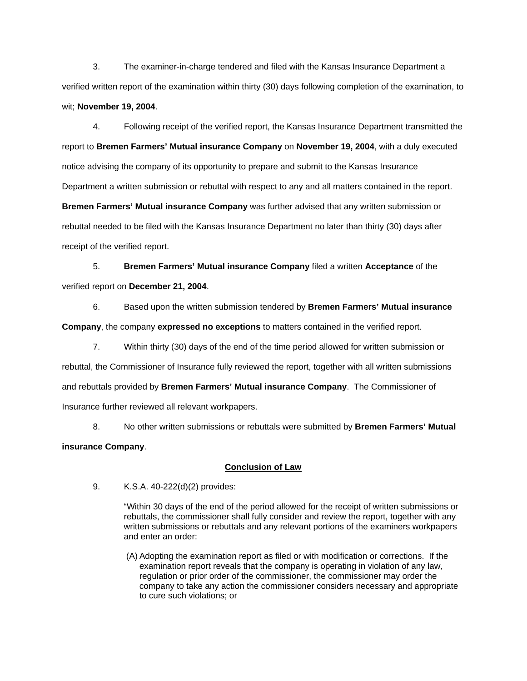3. The examiner-in-charge tendered and filed with the Kansas Insurance Department a verified written report of the examination within thirty (30) days following completion of the examination, to wit; **November 19, 2004**.

 4. Following receipt of the verified report, the Kansas Insurance Department transmitted the report to **Bremen Farmers' Mutual insurance Company** on **November 19, 2004**, with a duly executed notice advising the company of its opportunity to prepare and submit to the Kansas Insurance Department a written submission or rebuttal with respect to any and all matters contained in the report. **Bremen Farmers' Mutual insurance Company** was further advised that any written submission or rebuttal needed to be filed with the Kansas Insurance Department no later than thirty (30) days after receipt of the verified report.

 5. **Bremen Farmers' Mutual insurance Company** filed a written **Acceptance** of the verified report on **December 21, 2004**.

 6. Based upon the written submission tendered by **Bremen Farmers' Mutual insurance Company**, the company **expressed no exceptions** to matters contained in the verified report.

 7. Within thirty (30) days of the end of the time period allowed for written submission or rebuttal, the Commissioner of Insurance fully reviewed the report, together with all written submissions and rebuttals provided by **Bremen Farmers' Mutual insurance Company**. The Commissioner of Insurance further reviewed all relevant workpapers.

 8. No other written submissions or rebuttals were submitted by **Bremen Farmers' Mutual insurance Company**.

# **Conclusion of Law**

9. K.S.A. 40-222(d)(2) provides:

"Within 30 days of the end of the period allowed for the receipt of written submissions or rebuttals, the commissioner shall fully consider and review the report, together with any written submissions or rebuttals and any relevant portions of the examiners workpapers and enter an order:

 (A) Adopting the examination report as filed or with modification or corrections. If the examination report reveals that the company is operating in violation of any law, regulation or prior order of the commissioner, the commissioner may order the company to take any action the commissioner considers necessary and appropriate to cure such violations; or